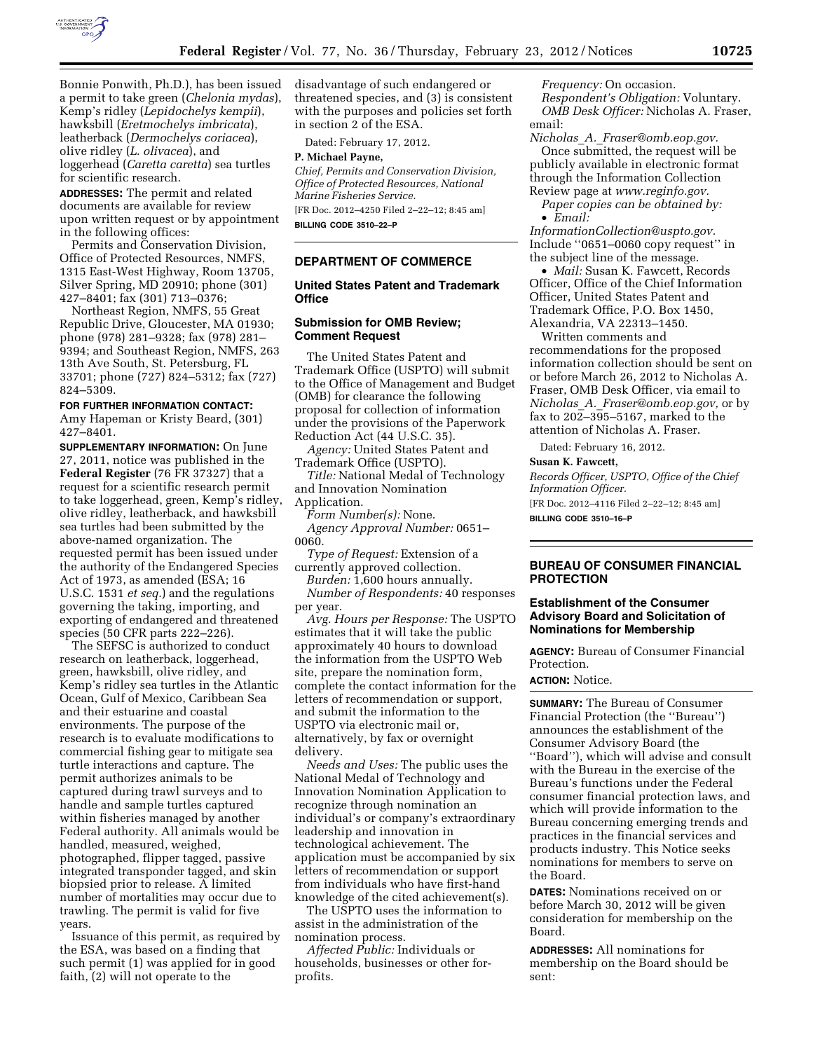

Bonnie Ponwith, Ph.D.), has been issued a permit to take green (*Chelonia mydas*), Kemp's ridley (*Lepidochelys kempii*), hawksbill (*Eretmochelys imbricata*), leatherback (*Dermochelys coriacea*), olive ridley (*L. olivacea*), and loggerhead (*Caretta caretta*) sea turtles for scientific research.

**ADDRESSES:** The permit and related documents are available for review upon written request or by appointment in the following offices:

Permits and Conservation Division, Office of Protected Resources, NMFS, 1315 East-West Highway, Room 13705, Silver Spring, MD 20910; phone (301) 427–8401; fax (301) 713–0376;

Northeast Region, NMFS, 55 Great Republic Drive, Gloucester, MA 01930; phone (978) 281–9328; fax (978) 281– 9394; and Southeast Region, NMFS, 263 13th Ave South, St. Petersburg, FL 33701; phone (727) 824–5312; fax (727) 824–5309.

#### **FOR FURTHER INFORMATION CONTACT:**

Amy Hapeman or Kristy Beard, (301) 427–8401.

**SUPPLEMENTARY INFORMATION:** On June 27, 2011, notice was published in the **Federal Register** (76 FR 37327) that a request for a scientific research permit to take loggerhead, green, Kemp's ridley, olive ridley, leatherback, and hawksbill sea turtles had been submitted by the above-named organization. The requested permit has been issued under the authority of the Endangered Species Act of 1973, as amended (ESA; 16 U.S.C. 1531 *et seq.*) and the regulations governing the taking, importing, and exporting of endangered and threatened species (50 CFR parts 222–226).

The SEFSC is authorized to conduct research on leatherback, loggerhead, green, hawksbill, olive ridley, and Kemp's ridley sea turtles in the Atlantic Ocean, Gulf of Mexico, Caribbean Sea and their estuarine and coastal environments. The purpose of the research is to evaluate modifications to commercial fishing gear to mitigate sea turtle interactions and capture. The permit authorizes animals to be captured during trawl surveys and to handle and sample turtles captured within fisheries managed by another Federal authority. All animals would be handled, measured, weighed, photographed, flipper tagged, passive integrated transponder tagged, and skin biopsied prior to release. A limited number of mortalities may occur due to trawling. The permit is valid for five years.

Issuance of this permit, as required by the ESA, was based on a finding that such permit (1) was applied for in good faith, (2) will not operate to the

disadvantage of such endangered or threatened species, and (3) is consistent with the purposes and policies set forth in section 2 of the ESA.

Dated: February 17, 2012.

#### **P. Michael Payne,**

*Chief, Permits and Conservation Division, Office of Protected Resources, National Marine Fisheries Service.*  [FR Doc. 2012–4250 Filed 2–22–12; 8:45 am]

**BILLING CODE 3510–22–P** 

# **DEPARTMENT OF COMMERCE**

# **United States Patent and Trademark Office**

#### **Submission for OMB Review; Comment Request**

The United States Patent and Trademark Office (USPTO) will submit to the Office of Management and Budget (OMB) for clearance the following proposal for collection of information under the provisions of the Paperwork Reduction Act (44 U.S.C. 35).

*Agency:* United States Patent and Trademark Office (USPTO).

*Title:* National Medal of Technology and Innovation Nomination Application.

*Form Number(s):* None. *Agency Approval Number:* 0651– 0060.

*Type of Request:* Extension of a currently approved collection.

*Burden:* 1,600 hours annually. *Number of Respondents:* 40 responses per year.

*Avg. Hours per Response:* The USPTO estimates that it will take the public approximately 40 hours to download the information from the USPTO Web site, prepare the nomination form, complete the contact information for the letters of recommendation or support, and submit the information to the USPTO via electronic mail or, alternatively, by fax or overnight delivery.

*Needs and Uses:* The public uses the National Medal of Technology and Innovation Nomination Application to recognize through nomination an individual's or company's extraordinary leadership and innovation in technological achievement. The application must be accompanied by six letters of recommendation or support from individuals who have first-hand knowledge of the cited achievement(s).

The USPTO uses the information to assist in the administration of the nomination process.

*Affected Public:* Individuals or households, businesses or other forprofits.

*Frequency:* On occasion. *Respondent's Obligation:* Voluntary. *OMB Desk Officer:* Nicholas A. Fraser, email:

*Nicholas*\_*A.*\_*Fraser@omb.eop.gov.*  Once submitted, the request will be publicly available in electronic format through the Information Collection Review page at *www.reginfo.gov.* 

*Paper copies can be obtained by:*  • *Email:* 

*InformationCollection@uspto.gov.*  Include ''0651–0060 copy request'' in the subject line of the message.

• *Mail:* Susan K. Fawcett, Records Officer, Office of the Chief Information Officer, United States Patent and Trademark Office, P.O. Box 1450, Alexandria, VA 22313–1450.

Written comments and recommendations for the proposed information collection should be sent on or before March 26, 2012 to Nicholas A. Fraser, OMB Desk Officer, via email to *Nicholas*\_*A.*\_*Fraser@omb.eop.gov,* or by fax to  $202-395-5167$ , marked to the attention of Nicholas A. Fraser.

Dated: February 16, 2012.

#### **Susan K. Fawcett,**

*Records Officer, USPTO, Office of the Chief Information Officer.*  [FR Doc. 2012–4116 Filed 2–22–12; 8:45 am] **BILLING CODE 3510–16–P** 

# **BUREAU OF CONSUMER FINANCIAL**

# **PROTECTION Establishment of the Consumer**

# **Advisory Board and Solicitation of Nominations for Membership**

**AGENCY:** Bureau of Consumer Financial Protection.

# **ACTION:** Notice.

**SUMMARY:** The Bureau of Consumer Financial Protection (the ''Bureau'') announces the establishment of the Consumer Advisory Board (the ''Board''), which will advise and consult with the Bureau in the exercise of the Bureau's functions under the Federal consumer financial protection laws, and which will provide information to the Bureau concerning emerging trends and practices in the financial services and products industry. This Notice seeks nominations for members to serve on the Board.

**DATES:** Nominations received on or before March 30, 2012 will be given consideration for membership on the Board.

**ADDRESSES:** All nominations for membership on the Board should be sent: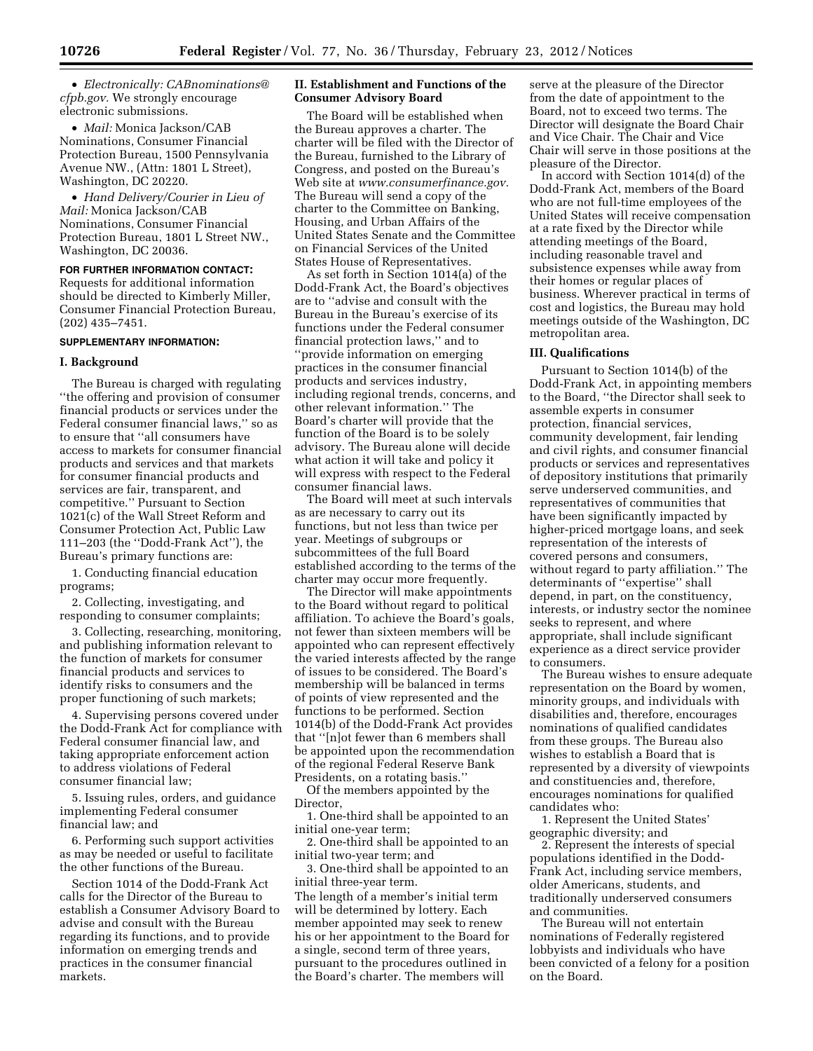• *Electronically: CABnominations@ cfpb.gov.* We strongly encourage electronic submissions.

• *Mail:* Monica Jackson/CAB Nominations, Consumer Financial Protection Bureau, 1500 Pennsylvania Avenue NW., (Attn: 1801 L Street), Washington, DC 20220.

• *Hand Delivery/Courier in Lieu of Mail:* Monica Jackson/CAB Nominations, Consumer Financial Protection Bureau, 1801 L Street NW., Washington, DC 20036.

**FOR FURTHER INFORMATION CONTACT:**  Requests for additional information should be directed to Kimberly Miller, Consumer Financial Protection Bureau, (202) 435–7451.

#### **SUPPLEMENTARY INFORMATION:**

#### **I. Background**

The Bureau is charged with regulating ''the offering and provision of consumer financial products or services under the Federal consumer financial laws,'' so as to ensure that ''all consumers have access to markets for consumer financial products and services and that markets for consumer financial products and services are fair, transparent, and competitive.'' Pursuant to Section 1021(c) of the Wall Street Reform and Consumer Protection Act, Public Law 111–203 (the ''Dodd-Frank Act''), the Bureau's primary functions are:

1. Conducting financial education programs;

2. Collecting, investigating, and responding to consumer complaints;

3. Collecting, researching, monitoring, and publishing information relevant to the function of markets for consumer financial products and services to identify risks to consumers and the proper functioning of such markets;

4. Supervising persons covered under the Dodd-Frank Act for compliance with Federal consumer financial law, and taking appropriate enforcement action to address violations of Federal consumer financial law;

5. Issuing rules, orders, and guidance implementing Federal consumer financial law; and

6. Performing such support activities as may be needed or useful to facilitate the other functions of the Bureau.

Section 1014 of the Dodd-Frank Act calls for the Director of the Bureau to establish a Consumer Advisory Board to advise and consult with the Bureau regarding its functions, and to provide information on emerging trends and practices in the consumer financial markets.

# **II. Establishment and Functions of the Consumer Advisory Board**

The Board will be established when the Bureau approves a charter. The charter will be filed with the Director of the Bureau, furnished to the Library of Congress, and posted on the Bureau's Web site at *www.consumerfinance.gov.*  The Bureau will send a copy of the charter to the Committee on Banking, Housing, and Urban Affairs of the United States Senate and the Committee on Financial Services of the United States House of Representatives.

As set forth in Section 1014(a) of the Dodd-Frank Act, the Board's objectives are to ''advise and consult with the Bureau in the Bureau's exercise of its functions under the Federal consumer financial protection laws,'' and to ''provide information on emerging practices in the consumer financial products and services industry, including regional trends, concerns, and other relevant information.'' The Board's charter will provide that the function of the Board is to be solely advisory. The Bureau alone will decide what action it will take and policy it will express with respect to the Federal consumer financial laws.

The Board will meet at such intervals as are necessary to carry out its functions, but not less than twice per year. Meetings of subgroups or subcommittees of the full Board established according to the terms of the charter may occur more frequently.

The Director will make appointments to the Board without regard to political affiliation. To achieve the Board's goals, not fewer than sixteen members will be appointed who can represent effectively the varied interests affected by the range of issues to be considered. The Board's membership will be balanced in terms of points of view represented and the functions to be performed. Section 1014(b) of the Dodd-Frank Act provides that ''[n]ot fewer than 6 members shall be appointed upon the recommendation of the regional Federal Reserve Bank Presidents, on a rotating basis.''

Of the members appointed by the Director,

1. One-third shall be appointed to an initial one-year term;

2. One-third shall be appointed to an initial two-year term; and

3. One-third shall be appointed to an initial three-year term.

The length of a member's initial term will be determined by lottery. Each member appointed may seek to renew his or her appointment to the Board for a single, second term of three years, pursuant to the procedures outlined in the Board's charter. The members will

serve at the pleasure of the Director from the date of appointment to the Board, not to exceed two terms. The Director will designate the Board Chair and Vice Chair. The Chair and Vice Chair will serve in those positions at the pleasure of the Director.

In accord with Section 1014(d) of the Dodd-Frank Act, members of the Board who are not full-time employees of the United States will receive compensation at a rate fixed by the Director while attending meetings of the Board, including reasonable travel and subsistence expenses while away from their homes or regular places of business. Wherever practical in terms of cost and logistics, the Bureau may hold meetings outside of the Washington, DC metropolitan area.

#### **III. Qualifications**

Pursuant to Section 1014(b) of the Dodd-Frank Act, in appointing members to the Board, ''the Director shall seek to assemble experts in consumer protection, financial services, community development, fair lending and civil rights, and consumer financial products or services and representatives of depository institutions that primarily serve underserved communities, and representatives of communities that have been significantly impacted by higher-priced mortgage loans, and seek representation of the interests of covered persons and consumers, without regard to party affiliation.'' The determinants of ''expertise'' shall depend, in part, on the constituency, interests, or industry sector the nominee seeks to represent, and where appropriate, shall include significant experience as a direct service provider to consumers.

The Bureau wishes to ensure adequate representation on the Board by women, minority groups, and individuals with disabilities and, therefore, encourages nominations of qualified candidates from these groups. The Bureau also wishes to establish a Board that is represented by a diversity of viewpoints and constituencies and, therefore, encourages nominations for qualified candidates who:

1. Represent the United States' geographic diversity; and

2. Represent the interests of special populations identified in the Dodd-Frank Act, including service members, older Americans, students, and traditionally underserved consumers and communities.

The Bureau will not entertain nominations of Federally registered lobbyists and individuals who have been convicted of a felony for a position on the Board.